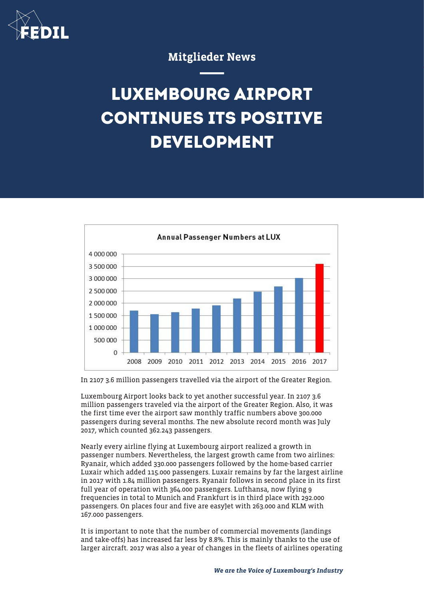

## Mitglieder News

## **LUXEMBOURG AIRPORT CONTINUES ITS POSITIVE DEVELOPMENT**



In 2107 3.6 million passengers travelled via the airport of the Greater Region.

Luxembourg Airport looks back to yet another successful year. In 2107 3.6 million passengers traveled via the airport of the Greater Region. Also, it was the first time ever the airport saw monthly traffic numbers above 300.000 passengers during several months. The new absolute record month was July 2017, which counted 362.243 passengers.

Nearly every airline flying at Luxembourg airport realized a growth in passenger numbers. Nevertheless, the largest growth came from two airlines: Ryanair, which added 330.000 passengers followed by the home-based carrier Luxair which added 115.000 passengers. Luxair remains by far the largest airline in 2017 with 1.84 million passengers. Ryanair follows in second place in its first full year of operation with 364.000 passengers. Lufthansa, now flying 9 frequencies in total to Munich and Frankfurt is in third place with 292.000 passengers. On places four and five are easyJet with 263.000 and KLM with 167.000 passengers.

It is important to note that the number of commercial movements (landings and take-offs) has increased far less by 8.8%. This is mainly thanks to the use of larger aircraft. 2017 was also a year of changes in the fleets of airlines operating